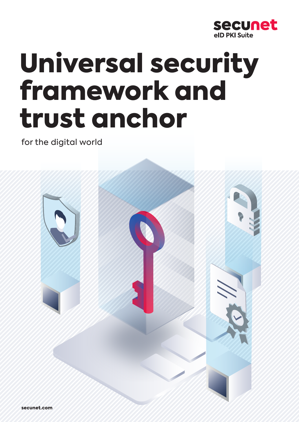

# Universal security framework and trust anchor

for the digital world



secunet.com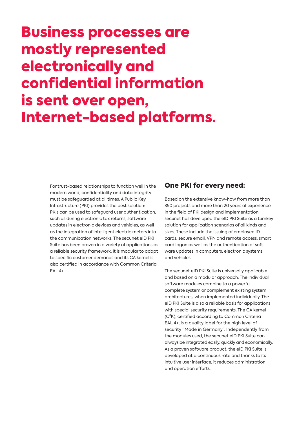# Business processes are mostly represented electronically and confidential information is sent over open, Internet-based platforms.

For trust-based relationships to function well in the modern world, confidentiality and data integrity must be safeguarded at all times. A Public Key Infrastructure (PKI) provides the best solution: PKIs can be used to safeguard user authentication, such as during electronic tax returns, software updates in electronic devices and vehicles, as well as the integration of intelligent electric meters into the communication networks. The secunet eID PKI Suite has been proven in a variety of applications as a reliable security framework, it is modular to adapt to specific customer demands and its CA kernel is also certified in accordance with Common Criteria EAL 4+.

### One PKI for every need:

Based on the extensive know-how from more than 350 projects and more than 20 years of experience in the field of PKI design and implementation, secunet has developed the eID PKI Suite as a turnkey solution for application scenarios of all kinds and sizes. These include the issuing of employee ID cards, secure email, VPN and remote access, smart card logon as well as the authentication of software updates in computers, electronic systems and vehicles.

The secunet eID PKI Suite is universally applicable and based on a modular approach: The individual software modules combine to a powerful complete system or complement existing system architectures, when implemented individually. The eID PKI Suite is also a reliable basis for applications with special security requirements. The CA kernel (C²K), certified according to Common Criteria EAL 4+, is a quality label for the high level of security "Made in Germany". Independently from the modules used, the secunet eID PKI Suite can always be integrated easily, quickly and economically. As a proven software product, the eID PKI Suite is developed at a continuous rate and thanks to its intuitive user interface, it reduces administration and operation efforts.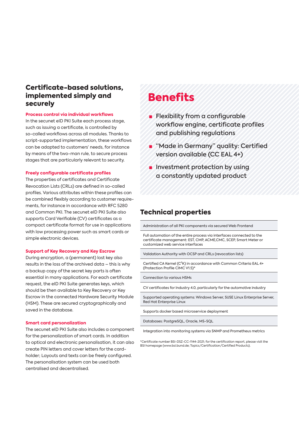### Certificate-based solutions, implemented simply and securely

#### **Process control via individual workflows**

In the secunet eID PKI Suite each process stage, such as issuing a certificate, is controlled by so-called workflows across all modules. Thanks to script-supported implementation, these workflows can be adapted to customers' needs, for instance by means of the two-man rule, to secure process stages that are particularly relevant to security.

#### **Freely configurable certificate profiles**

The properties of certificates and Certificate Revocation Lists (CRLs) are defined in so-called profiles. Various attributes within these profiles can be combined flexibly according to customer requirements, for instance in accordance with RFC 5280 and Common PKI. The secunet eID PKI Suite also supports Card Verifiable (CV) certificates as a compact certificate format for use in applications with low processing power such as smart cards or simple electronic devices.

#### **Support of Key Recovery and Key Escrow**

During encryption, a (permanent) lost key also results in the loss of the archived data – this is why a backup copy of the secret key parts is often essential in many applications. For each certificate request, the eID PKI Suite generates keys, which should be then available to Key Recovery or Key Escrow in the connected Hardware Security Module (HSM). These are secured cryptographically and saved in the database.

#### **Smart card personalization**

The secunet eID PKI Suite also includes a component for the personalization of smart cards. In addition to optical and electronic personalisation, it can also create PIN letters and cover letters for the cardholder; Layouts and texts can be freely configured. The personalisation system can be used both centralised and decentralised.

# **Benefits**

- Flexibility from a configurable workflow engine, certificate profiles and publishing regulations
- **■** "Made in Germany" quality: Certified version available (CC EAL 4+)
- Investment protection by using a constantly updated product

### Technical properties

Administration of all PKI components via secured Web Frontend

Full automation of the entire process via interfaces connected to the certificate management: EST, CMP, ACME,CMC, SCEP, Smart Meter or customized web service interfaces

Validation Authority with OCSP and CRLs (revocation lists)

Certified CA Kernel (C²K) in accordance with Common Criteria EAL 4+ (Protection Profile CIMC V1.5)\*

Connection to various HSMs

CV certificates for Industry 4.0, particularly for the automotive industry

Supported operating systems: Windows Server, SUSE Linux Enterprise Server, Red Hat Enterprise Linux

Supports docker based microservice deployment

Databases: PostgreSQL, Oracle, MS-SQL

Integration into monitoring systems via SNMP and Prometheus metrics

\*Certificate number BSI-DSZ-CC-1144-2021; for the certification report, please visit the BSI homepage (www.bsi.bund.de; Topics/Certification/Certified Products).